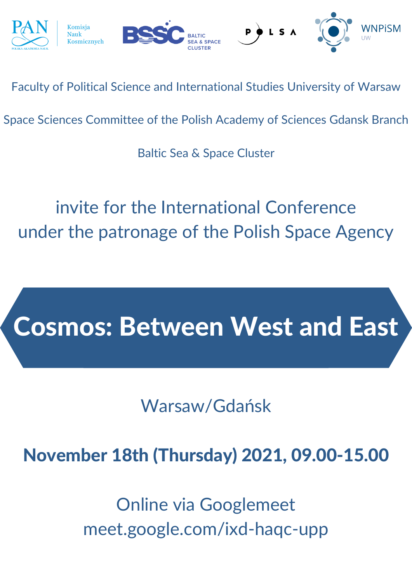

Faculty of Political Science and International Studies University of Warsaw

Space Sciences Committee of the Polish Academy of Sciences Gdansk Branch

Baltic Sea & Space Cluster

invite for the International Conference under the patronage of the Polish Space Agency

# Cosmos: Between West and East

### Warsaw/Gdańsk

# November 18th (Thursday) 2021, 09.00-15.00

Online via Googlemeet meet.google.com/ixd-haqc-upp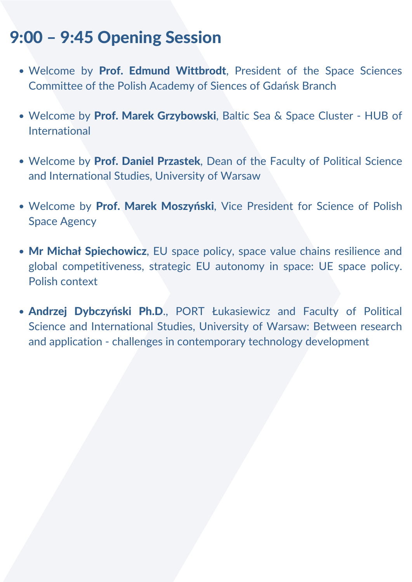- Welcome by Prof. Edmund Wittbrodt, President of the Space Sciences Committee of the Polish Academy of Siences of Gdańsk Branch
- Welcome by Prof. Marek Grzybowski, Baltic Sea & Space Cluster HUB of International
- Welcome by Prof. Daniel Przastek, Dean of the Faculty of Political Science and International Studies, University of Warsaw
- Welcome by Prof. Marek Moszyński, Vice President for Science of Polish Space Agency
- Mr Michał Spiechowicz, EU space policy, space value chains resilience and global competitiveness, strategic EU autonomy in space: UE space policy. Polish context
- Andrzej Dybczyński Ph.D., PORT Łukasiewicz and Faculty of Political Science and International Studies, University of Warsaw: Between research and application - challenges in contemporary technology development

#### 9:00 – 9:45 Opening Session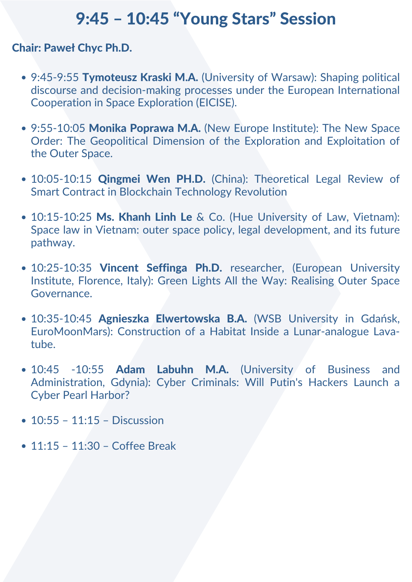#### 9:45 – 10:45 "Young Stars" Session

#### Chair: Paweł Chyc Ph.D.

- 9:45-9:55 Tymoteusz Kraski M.A. (University of Warsaw): Shaping political discourse and decision-making processes under the European International Cooperation in Space Exploration (EICISE).
- 9:55-10:05 Monika Poprawa M.A. (New Europe Institute): The New Space Order: The Geopolitical Dimension of the Exploration and Exploitation of the Outer Space.
- 10:05-10:15 Qingmei Wen PH.D. (China): Theoretical Legal Review of Smart Contract in Blockchain Technology Revolution
- 10:15-10:25 Ms. Khanh Linh Le & Co. (Hue University of Law, Vietnam): Space law in Vietnam: outer space policy, legal development, and its future pathway.
- 10:25-10:35 Vincent Seffinga Ph.D. researcher, (European University Institute, Florence, Italy): Green Lights All the Way: Realising Outer Space Governance.
- 10:35-10:45 Agnieszka Elwertowska B.A. (WSB University in Gdańsk, EuroMoonMars): Construction of a Habitat Inside a Lunar-analogue Lavatube.
- 10:45 -10:55 Adam Labuhn M.A. (University of Business and Administration, Gdynia): Cyber Criminals: Will Putin's Hackers Launch a Cyber Pearl Harbor?
- 10:55 11:15 Discussion
- 11:15 11:30 Coffee Break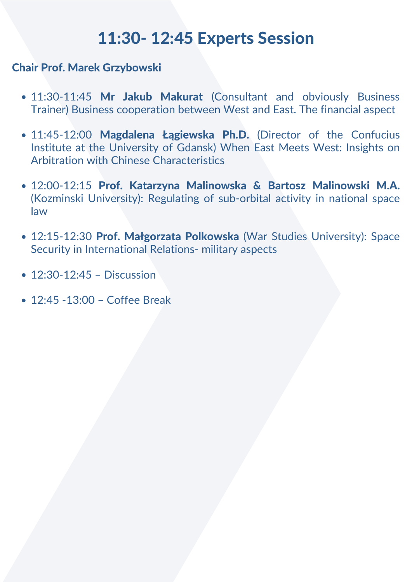### 11:30- 12:45 Experts Session

Chair Prof. Marek Grzybowski

- 11:30-11:45 Mr Jakub Makurat (Consultant and obviously Business Trainer) Business cooperation between West and East. The financial aspect
- 11:45-12:00 Magdalena Łągiewska Ph.D. (Director of the Confucius Institute at the University of Gdansk) When East Meets West: Insights on Arbitration with Chinese Characteristics
- 12:00-12:15 Prof. Katarzyna Malinowska & Bartosz Malinowski M.A. (Kozminski University): Regulating of sub-orbital activity in national space law
- 12:15-12:30 Prof. Małgorzata Polkowska (War Studies University): Space Security in International Relations- military aspects
- 12:30-12:45 Discussion
- 12:45 -13:00 Coffee Break